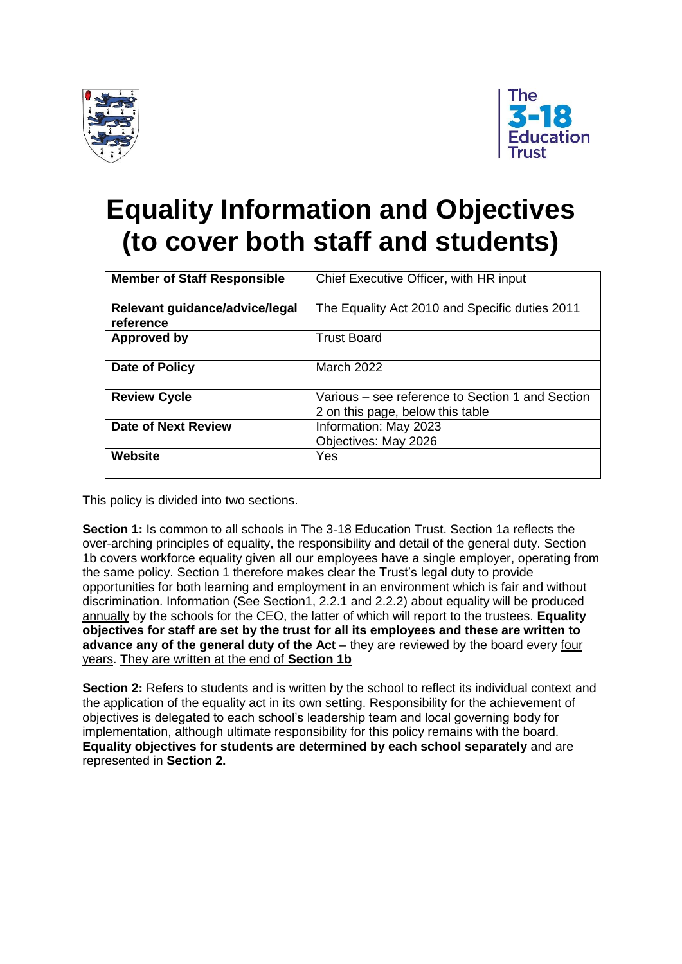



# **Equality Information and Objectives (to cover both staff and students)**

| <b>Member of Staff Responsible</b>          | Chief Executive Officer, with HR input                                               |  |
|---------------------------------------------|--------------------------------------------------------------------------------------|--|
| Relevant guidance/advice/legal<br>reference | The Equality Act 2010 and Specific duties 2011                                       |  |
| Approved by                                 | <b>Trust Board</b>                                                                   |  |
| Date of Policy                              | March 2022                                                                           |  |
| <b>Review Cycle</b>                         | Various – see reference to Section 1 and Section<br>2 on this page, below this table |  |
| <b>Date of Next Review</b>                  | Information: May 2023<br>Objectives: May 2026                                        |  |
| <b>Website</b>                              | Yes                                                                                  |  |

This policy is divided into two sections.

**Section 1:** Is common to all schools in The 3-18 Education Trust. Section 1a reflects the over-arching principles of equality, the responsibility and detail of the general duty. Section 1b covers workforce equality given all our employees have a single employer, operating from the same policy. Section 1 therefore makes clear the Trust's legal duty to provide opportunities for both learning and employment in an environment which is fair and without discrimination. Information (See Section1, 2.2.1 and 2.2.2) about equality will be produced annually by the schools for the CEO, the latter of which will report to the trustees. **Equality objectives for staff are set by the trust for all its employees and these are written to advance any of the general duty of the Act** – they are reviewed by the board every four years. They are written at the end of **Section 1b**

**Section 2:** Refers to students and is written by the school to reflect its individual context and the application of the equality act in its own setting. Responsibility for the achievement of objectives is delegated to each school's leadership team and local governing body for implementation, although ultimate responsibility for this policy remains with the board. **Equality objectives for students are determined by each school separately** and are represented in **Section 2.**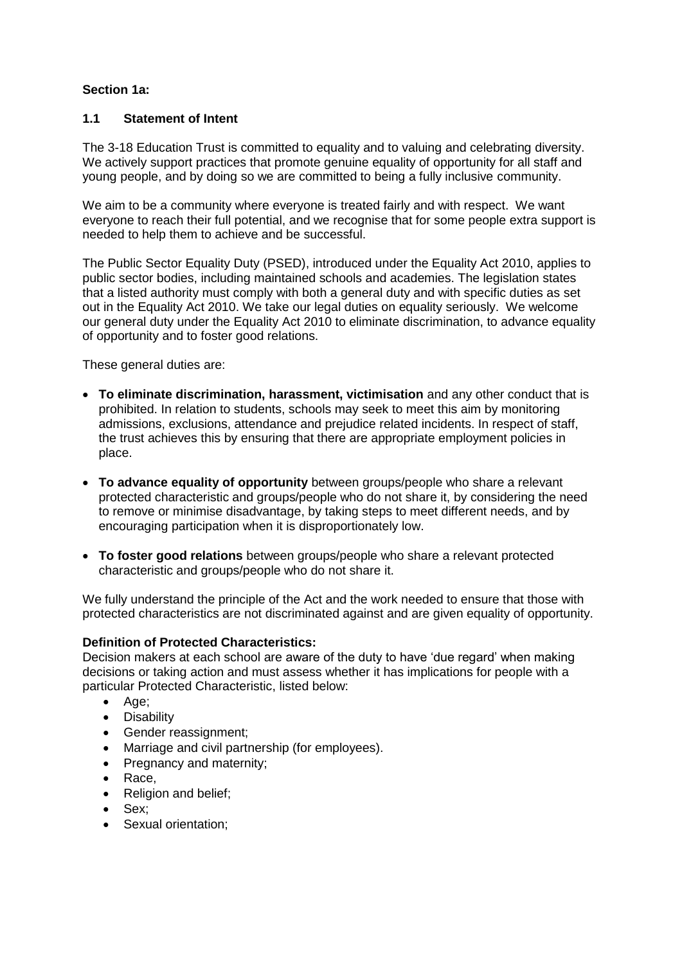# **Section 1a:**

# **1.1 Statement of Intent**

The 3-18 Education Trust is committed to equality and to valuing and celebrating diversity. We actively support practices that promote genuine equality of opportunity for all staff and young people, and by doing so we are committed to being a fully inclusive community.

We aim to be a community where everyone is treated fairly and with respect. We want everyone to reach their full potential, and we recognise that for some people extra support is needed to help them to achieve and be successful.

The Public Sector Equality Duty (PSED), introduced under the Equality Act 2010, applies to public sector bodies, including maintained schools and academies. The legislation states that a listed authority must comply with both a general duty and with specific duties as set out in the Equality Act 2010. We take our legal duties on equality seriously. We welcome our general duty under the Equality Act 2010 to eliminate discrimination, to advance equality of opportunity and to foster good relations.

These general duties are:

- **To eliminate discrimination, harassment, victimisation** and any other conduct that is prohibited. In relation to students, schools may seek to meet this aim by monitoring admissions, exclusions, attendance and prejudice related incidents. In respect of staff, the trust achieves this by ensuring that there are appropriate employment policies in place.
- **To advance equality of opportunity** between groups/people who share a relevant protected characteristic and groups/people who do not share it, by considering the need to remove or minimise disadvantage, by taking steps to meet different needs, and by encouraging participation when it is disproportionately low.
- **To foster good relations** between groups/people who share a relevant protected characteristic and groups/people who do not share it.

We fully understand the principle of the Act and the work needed to ensure that those with protected characteristics are not discriminated against and are given equality of opportunity.

# **Definition of Protected Characteristics:**

Decision makers at each school are aware of the duty to have 'due regard' when making decisions or taking action and must assess whether it has implications for people with a particular Protected Characteristic, listed below:

- Age;
- Disability
- Gender reassignment;
- Marriage and civil partnership (for employees).
- Pregnancy and maternity;
- Race.
- Religion and belief;
- Sex;
- Sexual orientation: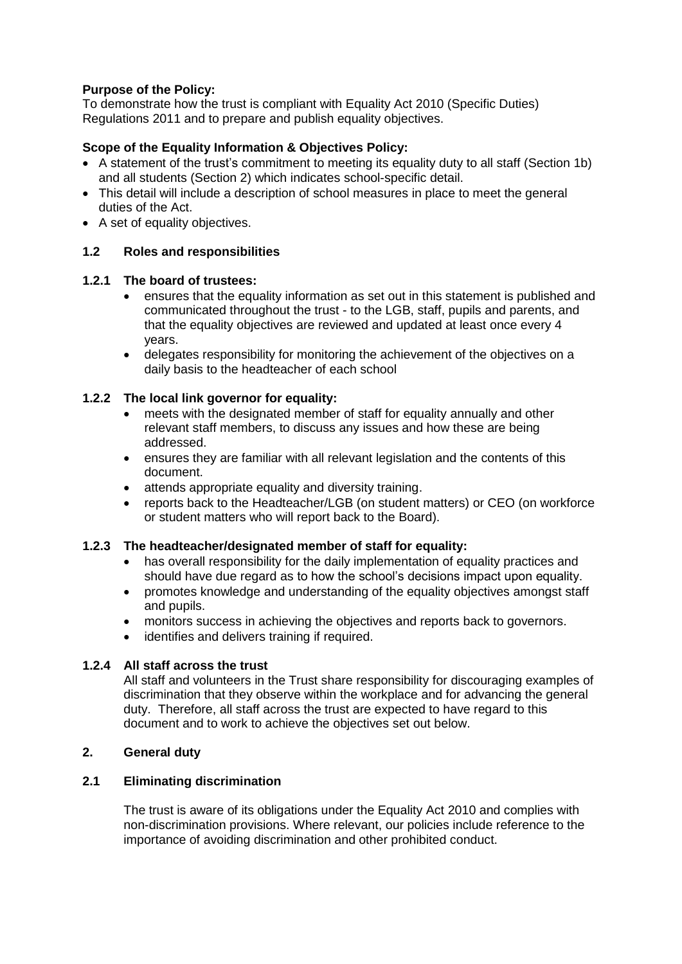# **Purpose of the Policy:**

To demonstrate how the trust is compliant with Equality Act 2010 (Specific Duties) Regulations 2011 and to prepare and publish equality objectives.

# **Scope of the Equality Information & Objectives Policy:**

- A statement of the trust's commitment to meeting its equality duty to all staff (Section 1b) and all students (Section 2) which indicates school-specific detail.
- This detail will include a description of school measures in place to meet the general duties of the Act.
- A set of equality objectives.

#### **1.2 Roles and responsibilities**

### **1.2.1 The board of trustees:**

- ensures that the equality information as set out in this statement is published and communicated throughout the trust - to the LGB, staff, pupils and parents, and that the equality objectives are reviewed and updated at least once every 4 years.
- delegates responsibility for monitoring the achievement of the objectives on a daily basis to the headteacher of each school

#### **1.2.2 The local link governor for equality:**

- meets with the designated member of staff for equality annually and other relevant staff members, to discuss any issues and how these are being addressed.
- ensures they are familiar with all relevant legislation and the contents of this document.
- attends appropriate equality and diversity training.
- reports back to the Headteacher/LGB (on student matters) or CEO (on workforce or student matters who will report back to the Board).

#### **1.2.3 The headteacher/designated member of staff for equality:**

- has overall responsibility for the daily implementation of equality practices and should have due regard as to how the school's decisions impact upon equality.
- promotes knowledge and understanding of the equality objectives amongst staff and pupils.
- monitors success in achieving the objectives and reports back to governors.
- identifies and delivers training if required.

#### **1.2.4 All staff across the trust**

All staff and volunteers in the Trust share responsibility for discouraging examples of discrimination that they observe within the workplace and for advancing the general duty. Therefore, all staff across the trust are expected to have regard to this document and to work to achieve the objectives set out below.

#### **2. General duty**

#### **2.1 Eliminating discrimination**

The trust is aware of its obligations under the Equality Act 2010 and complies with non-discrimination provisions. Where relevant, our policies include reference to the importance of avoiding discrimination and other prohibited conduct.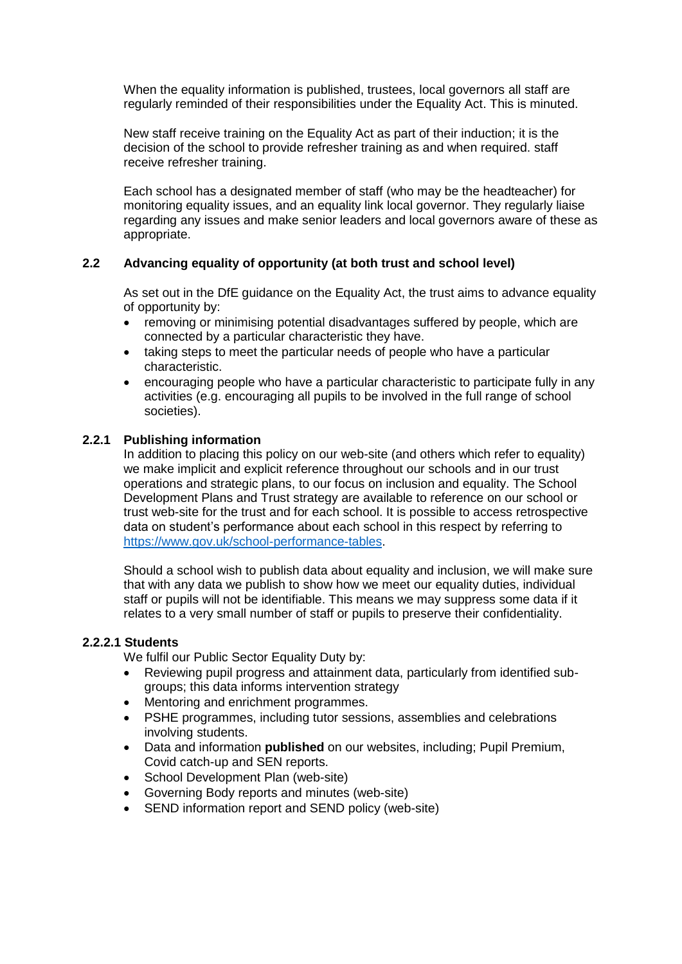When the equality information is published, trustees, local governors all staff are regularly reminded of their responsibilities under the Equality Act. This is minuted.

New staff receive training on the Equality Act as part of their induction; it is the decision of the school to provide refresher training as and when required. staff receive refresher training.

Each school has a designated member of staff (who may be the headteacher) for monitoring equality issues, and an equality link local governor. They regularly liaise regarding any issues and make senior leaders and local governors aware of these as appropriate.

# **2.2 Advancing equality of opportunity (at both trust and school level)**

As set out in the DfE guidance on the Equality Act, the trust aims to advance equality of opportunity by:

- removing or minimising potential disadvantages suffered by people, which are connected by a particular characteristic they have.
- taking steps to meet the particular needs of people who have a particular characteristic.
- encouraging people who have a particular characteristic to participate fully in any activities (e.g. encouraging all pupils to be involved in the full range of school societies).

#### **2.2.1 Publishing information**

In addition to placing this policy on our web-site (and others which refer to equality) we make implicit and explicit reference throughout our schools and in our trust operations and strategic plans, to our focus on inclusion and equality. The School Development Plans and Trust strategy are available to reference on our school or trust web-site for the trust and for each school. It is possible to access retrospective data on student's performance about each school in this respect by referring to [https://www.gov.uk/school-performance-tables.](https://www.gov.uk/school-performance-tables)

Should a school wish to publish data about equality and inclusion, we will make sure that with any data we publish to show how we meet our equality duties, individual staff or pupils will not be identifiable. This means we may suppress some data if it relates to a very small number of staff or pupils to preserve their confidentiality.

#### **2.2.2.1 Students**

We fulfil our Public Sector Equality Duty by:

- Reviewing pupil progress and attainment data, particularly from identified subgroups; this data informs intervention strategy
- Mentoring and enrichment programmes.
- PSHE programmes, including tutor sessions, assemblies and celebrations involving students.
- Data and information **published** on our websites, including; Pupil Premium, Covid catch-up and SEN reports.
- School Development Plan (web-site)
- Governing Body reports and minutes (web-site)
- SEND information report and SEND policy (web-site)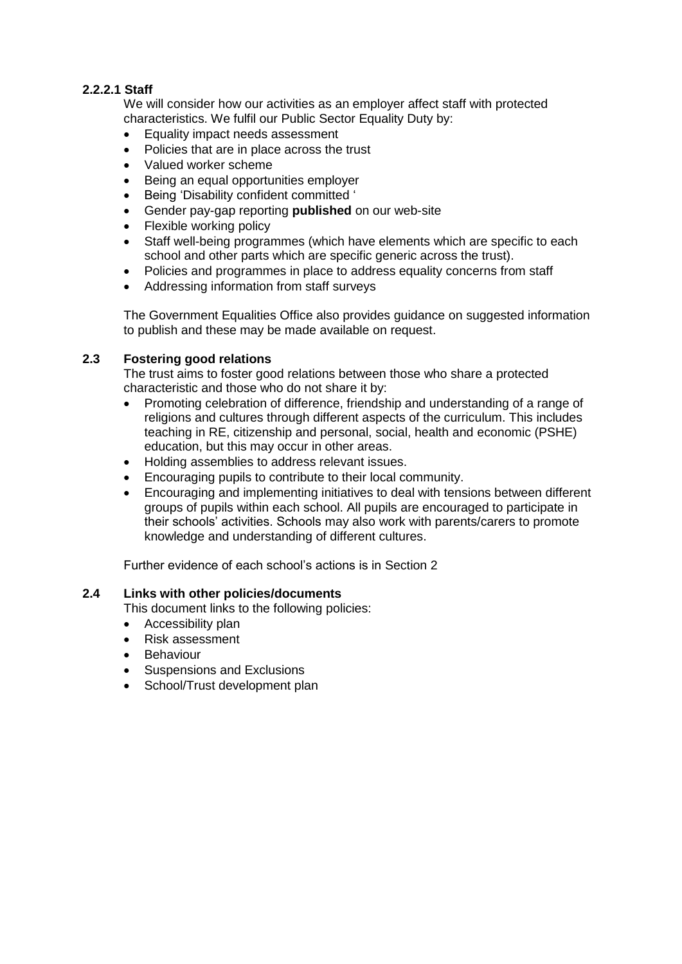# **2.2.2.1 Staff**

We will consider how our activities as an employer affect staff with protected characteristics. We fulfil our Public Sector Equality Duty by:

- Equality impact needs assessment
- Policies that are in place across the trust
- Valued worker scheme
- Being an equal opportunities employer
- **•** Being 'Disability confident committed '
- Gender pay-gap reporting **published** on our web-site
- Flexible working policy
- Staff well-being programmes (which have elements which are specific to each school and other parts which are specific generic across the trust).
- Policies and programmes in place to address equality concerns from staff
- Addressing information from staff surveys

The Government Equalities Office also provides guidance on suggested information to publish and these may be made available on request.

#### **2.3 Fostering good relations**

The trust aims to foster good relations between those who share a protected characteristic and those who do not share it by:

- Promoting celebration of difference, friendship and understanding of a range of religions and cultures through different aspects of the curriculum. This includes teaching in RE, citizenship and personal, social, health and economic (PSHE) education, but this may occur in other areas.
- Holding assemblies to address relevant issues.
- Encouraging pupils to contribute to their local community.
- Encouraging and implementing initiatives to deal with tensions between different groups of pupils within each school. All pupils are encouraged to participate in their schools' activities. Schools may also work with parents/carers to promote knowledge and understanding of different cultures.

Further evidence of each school's actions is in Section 2

#### **2.4 Links with other policies/documents**

This document links to the following policies:

- Accessibility plan
- Risk assessment
- Behaviour
- Suspensions and Exclusions
- School/Trust development plan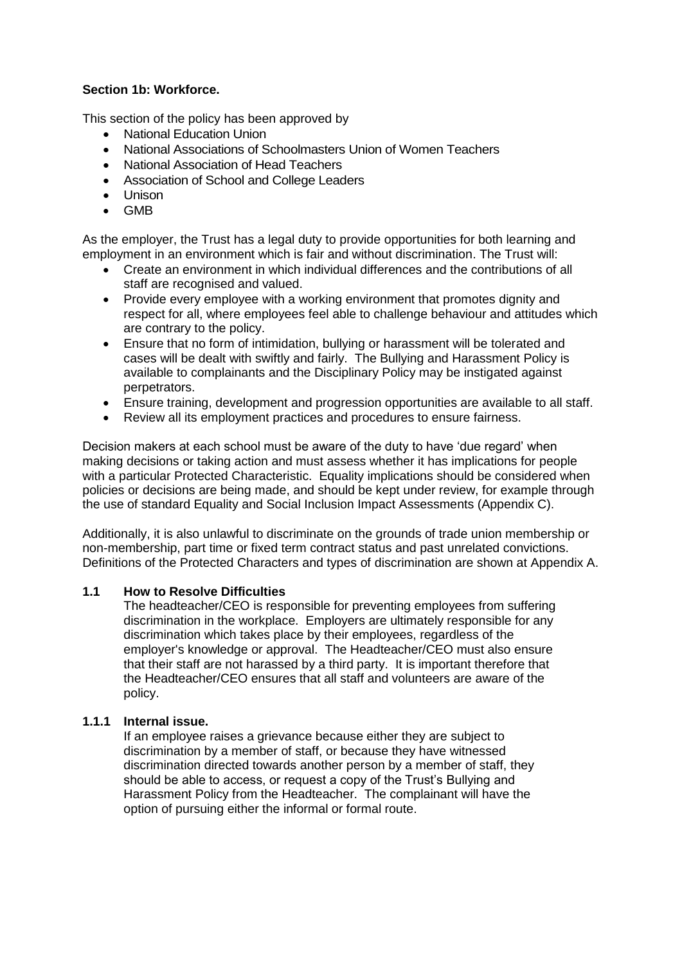# **Section 1b: Workforce.**

This section of the policy has been approved by

- National Education Union
- National Associations of Schoolmasters Union of Women Teachers
- National Association of Head Teachers
- Association of School and College Leaders
- Unison
- GMB

As the employer, the Trust has a legal duty to provide opportunities for both learning and employment in an environment which is fair and without discrimination. The Trust will:

- Create an environment in which individual differences and the contributions of all staff are recognised and valued.
- Provide every employee with a working environment that promotes dignity and respect for all, where employees feel able to challenge behaviour and attitudes which are contrary to the policy.
- Ensure that no form of intimidation, bullying or harassment will be tolerated and cases will be dealt with swiftly and fairly. The Bullying and Harassment Policy is available to complainants and the Disciplinary Policy may be instigated against perpetrators.
- Ensure training, development and progression opportunities are available to all staff.
- Review all its employment practices and procedures to ensure fairness.

Decision makers at each school must be aware of the duty to have 'due regard' when making decisions or taking action and must assess whether it has implications for people with a particular Protected Characteristic. Equality implications should be considered when policies or decisions are being made, and should be kept under review, for example through the use of standard Equality and Social Inclusion Impact Assessments (Appendix C).

Additionally, it is also unlawful to discriminate on the grounds of trade union membership or non-membership, part time or fixed term contract status and past unrelated convictions. Definitions of the Protected Characters and types of discrimination are shown at Appendix A.

#### **1.1 How to Resolve Difficulties**

The headteacher/CEO is responsible for preventing employees from suffering discrimination in the workplace. Employers are ultimately responsible for any discrimination which takes place by their employees, regardless of the employer's knowledge or approval. The Headteacher/CEO must also ensure that their staff are not harassed by a third party. It is important therefore that the Headteacher/CEO ensures that all staff and volunteers are aware of the policy.

#### **1.1.1 Internal issue.**

If an employee raises a grievance because either they are subject to discrimination by a member of staff, or because they have witnessed discrimination directed towards another person by a member of staff, they should be able to access, or request a copy of the Trust's Bullying and Harassment Policy from the Headteacher. The complainant will have the option of pursuing either the informal or formal route.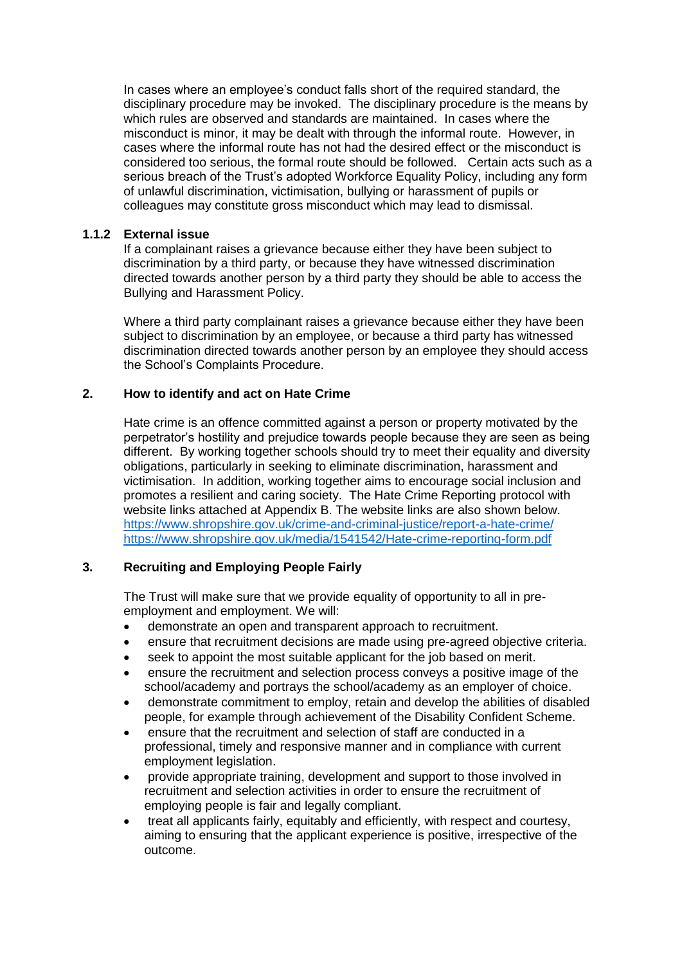In cases where an employee's conduct falls short of the required standard, the disciplinary procedure may be invoked. The disciplinary procedure is the means by which rules are observed and standards are maintained. In cases where the misconduct is minor, it may be dealt with through the informal route. However, in cases where the informal route has not had the desired effect or the misconduct is considered too serious, the formal route should be followed. Certain acts such as a serious breach of the Trust's adopted Workforce Equality Policy, including any form of unlawful discrimination, victimisation, bullying or harassment of pupils or colleagues may constitute gross misconduct which may lead to dismissal.

#### **1.1.2 External issue**

If a complainant raises a grievance because either they have been subject to discrimination by a third party, or because they have witnessed discrimination directed towards another person by a third party they should be able to access the Bullying and Harassment Policy.

Where a third party complainant raises a grievance because either they have been subject to discrimination by an employee, or because a third party has witnessed discrimination directed towards another person by an employee they should access the School's Complaints Procedure.

#### **2. How to identify and act on Hate Crime**

Hate crime is an offence committed against a person or property motivated by the perpetrator's hostility and prejudice towards people because they are seen as being different. By working together schools should try to meet their equality and diversity obligations, particularly in seeking to eliminate discrimination, harassment and victimisation. In addition, working together aims to encourage social inclusion and promotes a resilient and caring society. The Hate Crime Reporting protocol with website links attached at Appendix B. The website links are also shown below. <https://www.shropshire.gov.uk/crime-and-criminal-justice/report-a-hate-crime/> <https://www.shropshire.gov.uk/media/1541542/Hate-crime-reporting-form.pdf>

#### **3. Recruiting and Employing People Fairly**

The Trust will make sure that we provide equality of opportunity to all in preemployment and employment. We will:

- demonstrate an open and transparent approach to recruitment.
- ensure that recruitment decisions are made using pre-agreed objective criteria.
- seek to appoint the most suitable applicant for the job based on merit.
- ensure the recruitment and selection process conveys a positive image of the school/academy and portrays the school/academy as an employer of choice.
- demonstrate commitment to employ, retain and develop the abilities of disabled people, for example through achievement of the Disability Confident Scheme.
- ensure that the recruitment and selection of staff are conducted in a professional, timely and responsive manner and in compliance with current employment legislation.
- provide appropriate training, development and support to those involved in recruitment and selection activities in order to ensure the recruitment of employing people is fair and legally compliant.
- treat all applicants fairly, equitably and efficiently, with respect and courtesy, aiming to ensuring that the applicant experience is positive, irrespective of the outcome.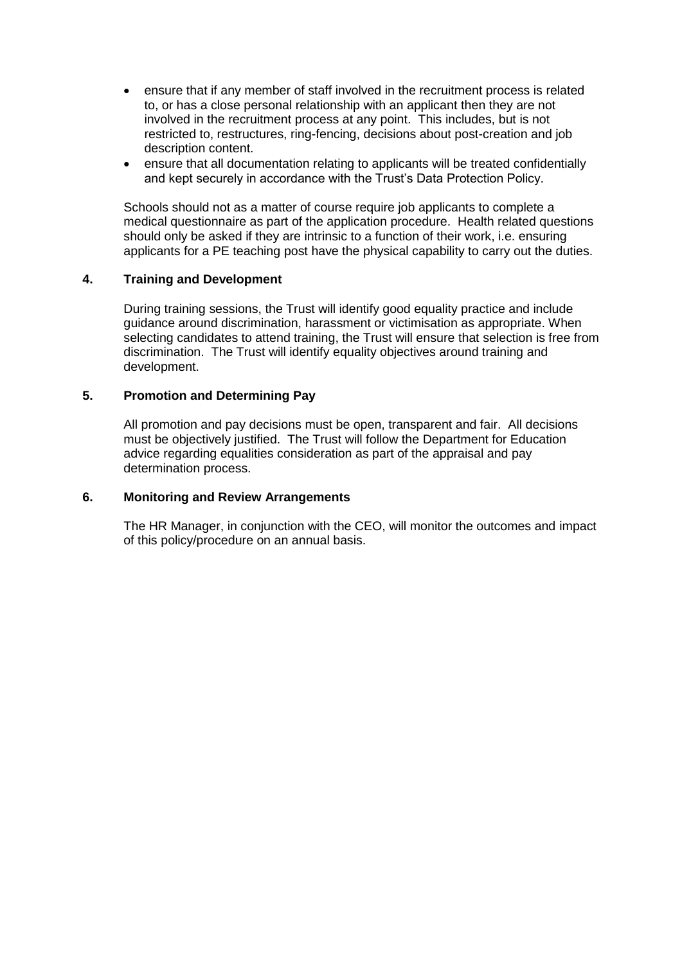- ensure that if any member of staff involved in the recruitment process is related to, or has a close personal relationship with an applicant then they are not involved in the recruitment process at any point. This includes, but is not restricted to, restructures, ring-fencing, decisions about post-creation and job description content.
- ensure that all documentation relating to applicants will be treated confidentially and kept securely in accordance with the Trust's Data Protection Policy.

Schools should not as a matter of course require job applicants to complete a medical questionnaire as part of the application procedure. Health related questions should only be asked if they are intrinsic to a function of their work, i.e. ensuring applicants for a PE teaching post have the physical capability to carry out the duties.

#### **4. Training and Development**

During training sessions, the Trust will identify good equality practice and include guidance around discrimination, harassment or victimisation as appropriate. When selecting candidates to attend training, the Trust will ensure that selection is free from discrimination. The Trust will identify equality objectives around training and development.

#### **5. Promotion and Determining Pay**

All promotion and pay decisions must be open, transparent and fair. All decisions must be objectively justified. The Trust will follow the Department for Education advice regarding equalities consideration as part of the appraisal and pay determination process.

#### **6. Monitoring and Review Arrangements**

The HR Manager, in conjunction with the CEO, will monitor the outcomes and impact of this policy/procedure on an annual basis.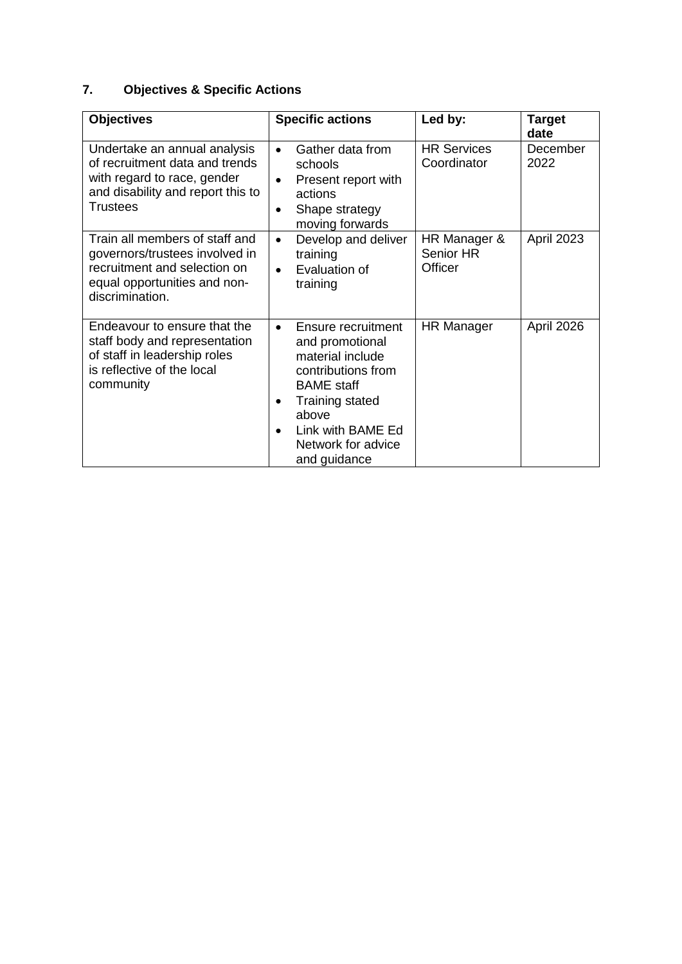# **7. Objectives & Specific Actions**

| <b>Objectives</b>                                                                                                                                     | <b>Specific actions</b>                                                                                                                                                                                                                   | Led by:                              | <b>Target</b><br>date |
|-------------------------------------------------------------------------------------------------------------------------------------------------------|-------------------------------------------------------------------------------------------------------------------------------------------------------------------------------------------------------------------------------------------|--------------------------------------|-----------------------|
| Undertake an annual analysis<br>of recruitment data and trends<br>with regard to race, gender<br>and disability and report this to<br><b>Trustees</b> | Gather data from<br>$\bullet$<br>schools<br>Present report with<br>$\bullet$<br>actions<br>Shape strategy<br>٠<br>moving forwards                                                                                                         | <b>HR Services</b><br>Coordinator    | December<br>2022      |
| Train all members of staff and<br>governors/trustees involved in<br>recruitment and selection on<br>equal opportunities and non-<br>discrimination.   | Develop and deliver<br>$\bullet$<br>training<br>Evaluation of<br>$\bullet$<br>training                                                                                                                                                    | HR Manager &<br>Senior HR<br>Officer | April 2023            |
| Endeavour to ensure that the<br>staff body and representation<br>of staff in leadership roles<br>is reflective of the local<br>community              | Ensure recruitment<br>$\bullet$<br>and promotional<br>material include<br>contributions from<br><b>BAME</b> staff<br><b>Training stated</b><br>$\bullet$<br>above<br>Link with BAME Ed<br>$\bullet$<br>Network for advice<br>and guidance | <b>HR Manager</b>                    | April 2026            |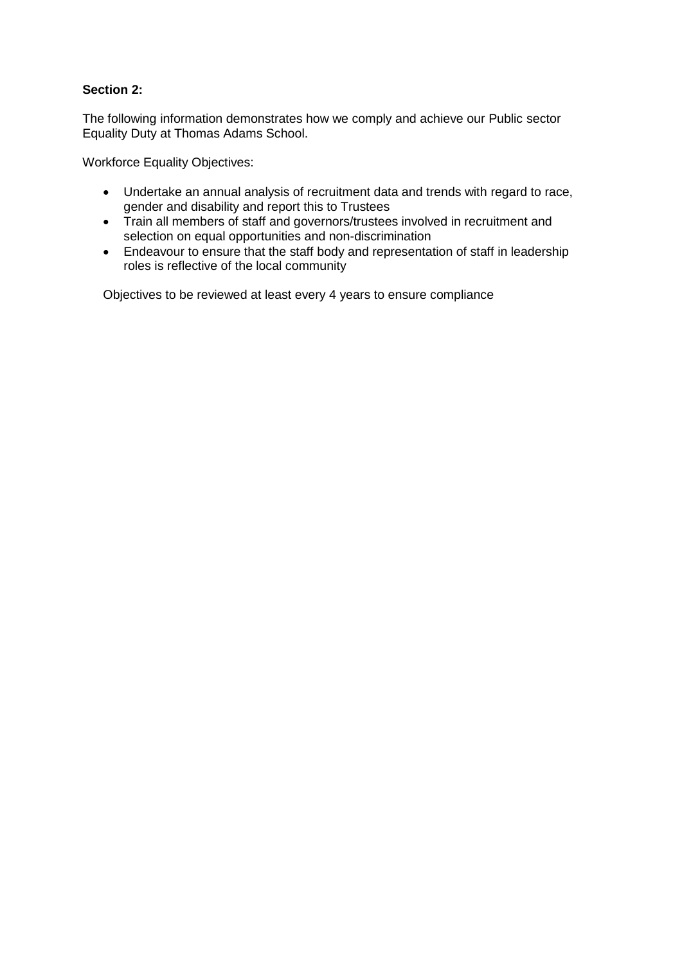# **Section 2:**

The following information demonstrates how we comply and achieve our Public sector Equality Duty at Thomas Adams School.

Workforce Equality Objectives:

- Undertake an annual analysis of recruitment data and trends with regard to race, gender and disability and report this to Trustees
- Train all members of staff and governors/trustees involved in recruitment and selection on equal opportunities and non-discrimination
- Endeavour to ensure that the staff body and representation of staff in leadership roles is reflective of the local community

Objectives to be reviewed at least every 4 years to ensure compliance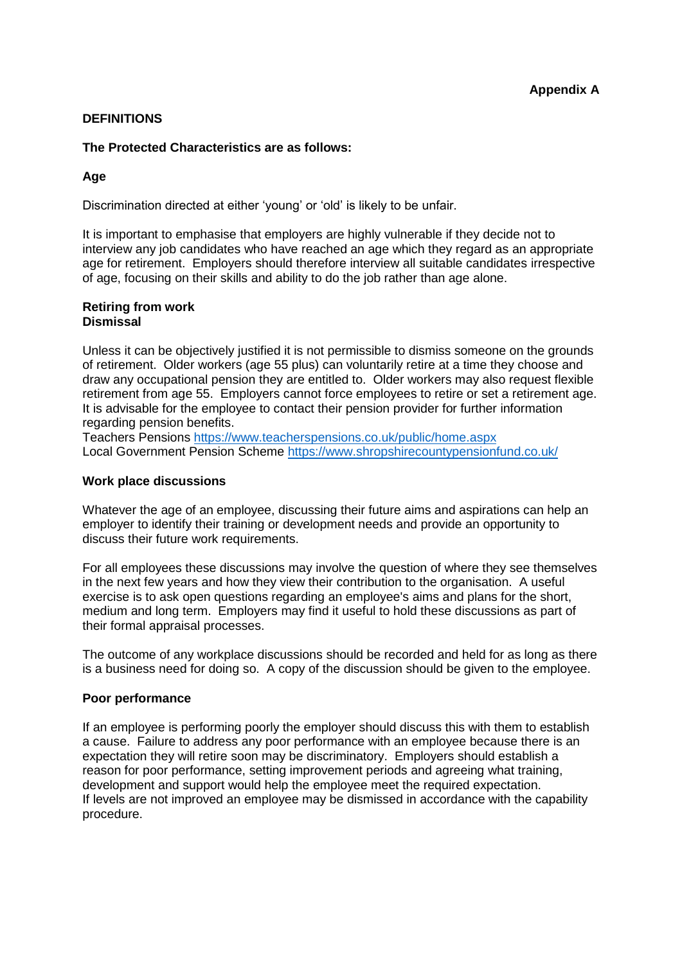#### **DEFINITIONS**

#### **The Protected Characteristics are as follows:**

#### **Age**

Discrimination directed at either 'young' or 'old' is likely to be unfair.

It is important to emphasise that employers are highly vulnerable if they decide not to interview any job candidates who have reached an age which they regard as an appropriate age for retirement. Employers should therefore interview all suitable candidates irrespective of age, focusing on their skills and ability to do the job rather than age alone.

#### **Retiring from work Dismissal**

Unless it can be objectively justified it is not permissible to dismiss someone on the grounds of retirement. Older workers (age 55 plus) can voluntarily retire at a time they choose and draw any occupational pension they are entitled to. Older workers may also request flexible retirement from age 55. Employers cannot force employees to retire or set a retirement age. It is advisable for the employee to contact their pension provider for further information regarding pension benefits.

Teachers Pensions<https://www.teacherspensions.co.uk/public/home.aspx> Local Government Pension Scheme<https://www.shropshirecountypensionfund.co.uk/>

#### **Work place discussions**

Whatever the age of an employee, discussing their future aims and aspirations can help an employer to identify their training or development needs and provide an opportunity to discuss their future work requirements.

For all employees these discussions may involve the question of where they see themselves in the next few years and how they view their contribution to the organisation. A useful exercise is to ask open questions regarding an employee's aims and plans for the short, medium and long term. Employers may find it useful to hold these discussions as part of their formal appraisal processes.

The outcome of any workplace discussions should be recorded and held for as long as there is a business need for doing so. A copy of the discussion should be given to the employee.

#### **Poor performance**

If an employee is performing poorly the employer should discuss this with them to establish a cause. Failure to address any poor performance with an employee because there is an expectation they will retire soon may be discriminatory. Employers should establish a reason for poor performance, setting improvement periods and agreeing what training, development and support would help the employee meet the required expectation. If levels are not improved an employee may be dismissed in accordance with the capability procedure.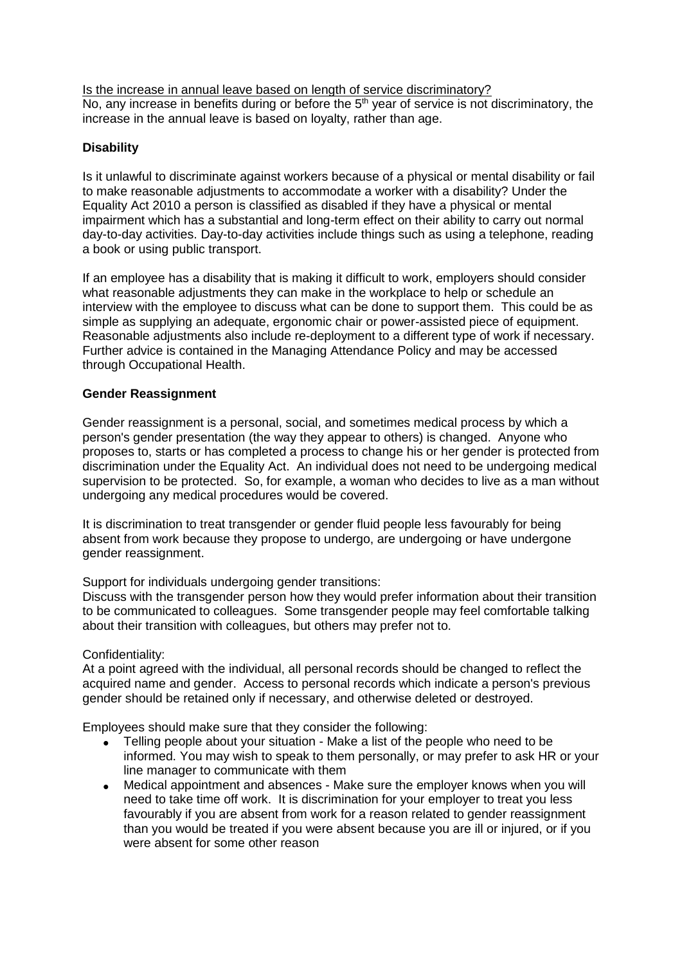Is the increase in annual leave based on length of service discriminatory? No, any increase in benefits during or before the  $5<sup>th</sup>$  year of service is not discriminatory, the increase in the annual leave is based on loyalty, rather than age.

# **Disability**

Is it unlawful to discriminate against workers because of a physical or mental disability or fail to make reasonable adjustments to accommodate a worker with a disability? Under the Equality Act 2010 a person is classified as disabled if they have a physical or mental impairment which has a substantial and long-term effect on their ability to carry out normal day-to-day activities. Day-to-day activities include things such as using a telephone, reading a book or using public transport.

If an employee has a disability that is making it difficult to work, employers should consider what reasonable adjustments they can make in the workplace to help or schedule an interview with the employee to discuss what can be done to support them. This could be as simple as supplying an adequate, ergonomic chair or power-assisted piece of equipment. Reasonable adjustments also include re-deployment to a different type of work if necessary. Further advice is contained in the Managing Attendance Policy and may be accessed through Occupational Health.

#### **Gender Reassignment**

Gender reassignment is a personal, social, and sometimes medical process by which a person's gender presentation (the way they appear to others) is changed. Anyone who proposes to, starts or has completed a process to change his or her gender is protected from discrimination under the Equality Act. An individual does not need to be undergoing medical supervision to be protected. So, for example, a woman who decides to live as a man without undergoing any medical procedures would be covered.

It is discrimination to treat transgender or gender fluid people less favourably for being absent from work because they propose to undergo, are undergoing or have undergone gender reassignment.

Support for individuals undergoing gender transitions:

Discuss with the transgender person how they would prefer information about their transition to be communicated to colleagues. Some transgender people may feel comfortable talking about their transition with colleagues, but others may prefer not to.

#### Confidentiality:

At a point agreed with the individual, all personal records should be changed to reflect the acquired name and gender. Access to personal records which indicate a person's previous gender should be retained only if necessary, and otherwise deleted or destroyed.

Employees should make sure that they consider the following:

- Telling people about your situation Make a list of the people who need to be informed. You may wish to speak to them personally, or may prefer to ask HR or your line manager to communicate with them
- Medical appointment and absences Make sure the employer knows when you will need to take time off work. It is discrimination for your employer to treat you less favourably if you are absent from work for a reason related to gender reassignment than you would be treated if you were absent because you are ill or injured, or if you were absent for some other reason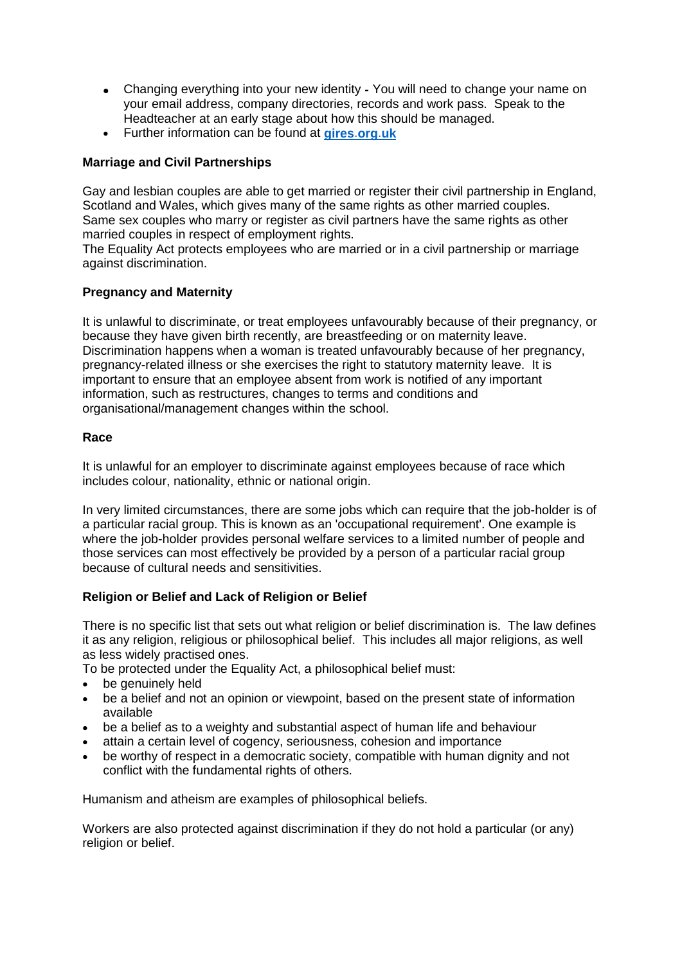- Changing everything into your new identity **-** You will need to change your name on your email address, company directories, records and work pass. Speak to the Headteacher at an early stage about how this should be managed.
- Further information can be found at **[gires](http://www.gires.org.uk/)**.**org**.**uk**

# **Marriage and Civil Partnerships**

Gay and lesbian couples are able to get married or register their civil partnership in England, Scotland and Wales, which gives many of the same rights as other married couples. Same sex couples who marry or register as civil partners have the same rights as other married couples in respect of employment rights.

The Equality Act protects employees who are married or in a civil partnership or marriage against discrimination.

# **Pregnancy and Maternity**

It is unlawful to discriminate, or treat employees unfavourably because of their pregnancy, or because they have given birth recently, are breastfeeding or on maternity leave. Discrimination happens when a woman is treated unfavourably because of her pregnancy, pregnancy-related illness or she exercises the right to statutory maternity leave. It is important to ensure that an employee absent from work is notified of any important information, such as restructures, changes to terms and conditions and organisational/management changes within the school.

#### **Race**

It is unlawful for an employer to discriminate against employees because of race which includes colour, nationality, ethnic or national origin.

In very limited circumstances, there are some jobs which can require that the job-holder is of a particular racial group. This is known as an 'occupational requirement'. One example is where the job-holder provides personal welfare services to a limited number of people and those services can most effectively be provided by a person of a particular racial group because of cultural needs and sensitivities.

# **Religion or Belief and Lack of Religion or Belief**

There is no specific list that sets out what religion or belief discrimination is. The law defines it as any religion, religious or philosophical belief. This includes all major religions, as well as less widely practised ones.

To be protected under the Equality Act, a philosophical belief must:

- be genuinely held
- be a belief and not an opinion or viewpoint, based on the present state of information available
- be a belief as to a weighty and substantial aspect of human life and behaviour
- attain a certain level of cogency, seriousness, cohesion and importance
- be worthy of respect in a democratic society, compatible with human dignity and not conflict with the fundamental rights of others.

Humanism and atheism are examples of philosophical beliefs.

Workers are also protected against discrimination if they do not hold a particular (or any) religion or belief.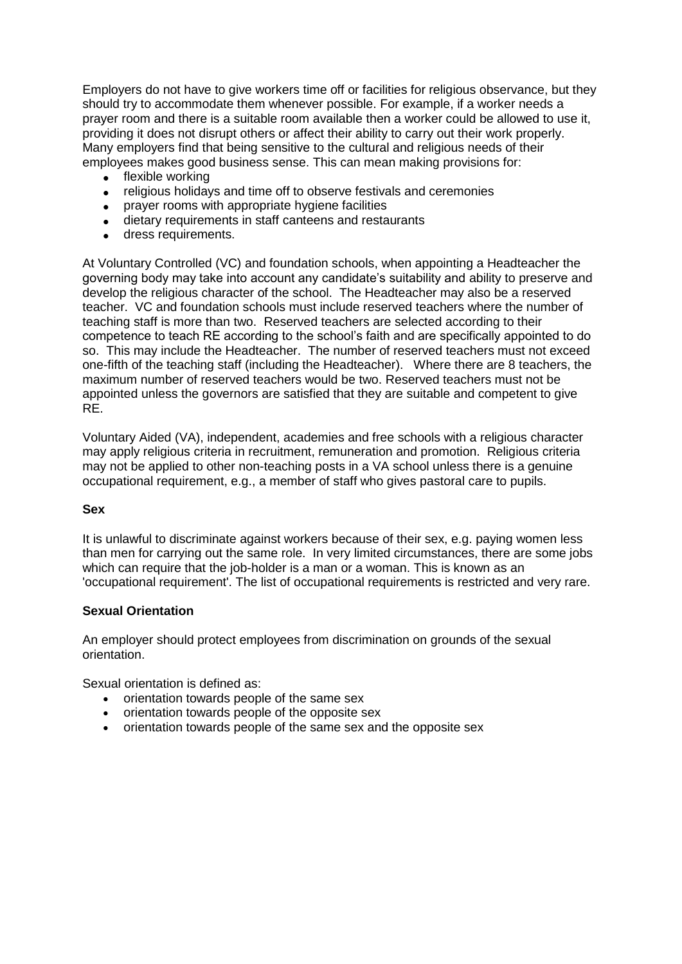Employers do not have to give workers time off or facilities for religious observance, but they should try to accommodate them whenever possible. For example, if a worker needs a prayer room and there is a suitable room available then a worker could be allowed to use it, providing it does not disrupt others or affect their ability to carry out their work properly. Many employers find that being sensitive to the cultural and religious needs of their employees makes good business sense. This can mean making provisions for:

- flexible working
- religious holidays and time off to observe festivals and ceremonies
- prayer rooms with appropriate hygiene facilities
- dietary requirements in staff canteens and restaurants
- dress requirements.

At Voluntary Controlled (VC) and foundation schools, when appointing a Headteacher the governing body may take into account any candidate's suitability and ability to preserve and develop the religious character of the school. The Headteacher may also be a reserved teacher. VC and foundation schools must include reserved teachers where the number of teaching staff is more than two. Reserved teachers are selected according to their competence to teach RE according to the school's faith and are specifically appointed to do so. This may include the Headteacher. The number of reserved teachers must not exceed one-fifth of the teaching staff (including the Headteacher). Where there are 8 teachers, the maximum number of reserved teachers would be two. Reserved teachers must not be appointed unless the governors are satisfied that they are suitable and competent to give RE.

Voluntary Aided (VA), independent, academies and free schools with a religious character may apply religious criteria in recruitment, remuneration and promotion. Religious criteria may not be applied to other non-teaching posts in a VA school unless there is a genuine occupational requirement, e.g., a member of staff who gives pastoral care to pupils.

#### **Sex**

It is unlawful to discriminate against workers because of their sex, e.g. paying women less than men for carrying out the same role. In very limited circumstances, there are some jobs which can require that the job-holder is a man or a woman. This is known as an 'occupational requirement'. The list of occupational requirements is restricted and very rare.

#### **Sexual Orientation**

An employer should protect employees from discrimination on grounds of the sexual orientation.

Sexual orientation is defined as:

- orientation towards people of the same sex
- orientation towards people of the opposite sex
- orientation towards people of the same sex and the opposite sex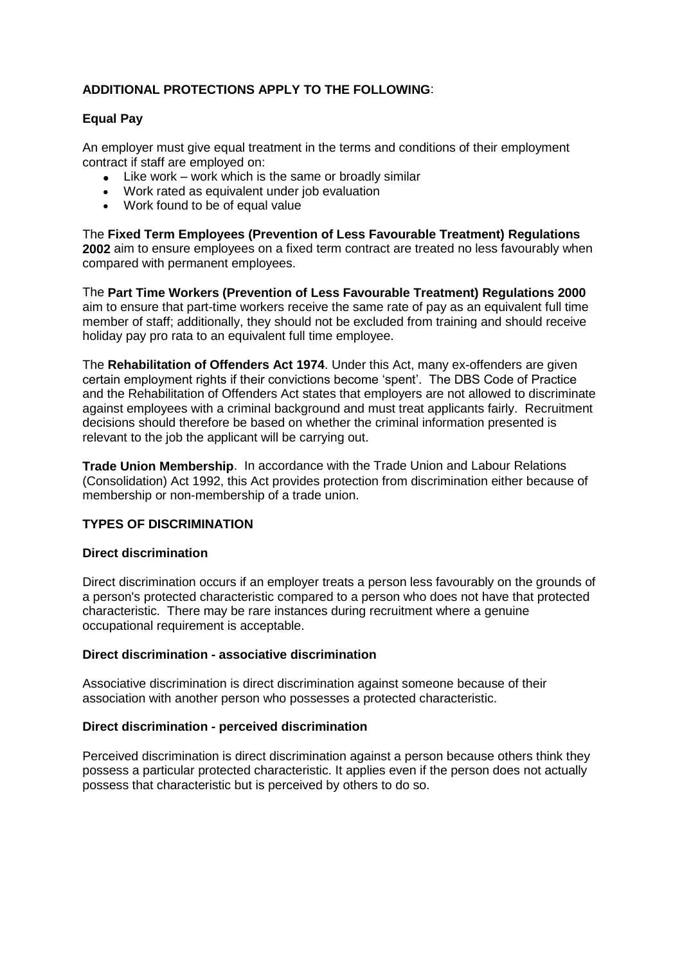# **ADDITIONAL PROTECTIONS APPLY TO THE FOLLOWING**:

# **Equal Pay**

An employer must give equal treatment in the terms and conditions of their employment contract if staff are employed on:

- $\bullet$  Like work work which is the same or broadly similar
- Work rated as equivalent under job evaluation
- Work found to be of equal value

The **Fixed Term Employees (Prevention of Less Favourable Treatment) Regulations 2002** aim to ensure employees on a fixed term contract are treated no less favourably when compared with permanent employees.

The **Part Time Workers (Prevention of Less Favourable Treatment) Regulations 2000** aim to ensure that part-time workers receive the same rate of pay as an equivalent full time member of staff; additionally, they should not be excluded from training and should receive holiday pay pro rata to an equivalent full time employee.

The **Rehabilitation of Offenders Act 1974**. Under this Act, many ex-offenders are given certain employment rights if their convictions become 'spent'. The DBS Code of Practice and the Rehabilitation of Offenders Act states that employers are not allowed to discriminate against employees with a criminal background and must treat applicants fairly. Recruitment decisions should therefore be based on whether the criminal information presented is relevant to the job the applicant will be carrying out.

**Trade Union Membership**. In accordance with the Trade Union and Labour Relations (Consolidation) Act 1992, this Act provides protection from discrimination either because of membership or non-membership of a trade union.

#### **TYPES OF DISCRIMINATION**

#### **Direct discrimination**

Direct discrimination occurs if an employer treats a person less favourably on the grounds of a person's protected characteristic compared to a person who does not have that protected characteristic. There may be rare instances during recruitment where a genuine occupational requirement is acceptable.

#### **Direct discrimination - associative discrimination**

Associative discrimination is direct discrimination against someone because of their association with another person who possesses a protected characteristic.

#### **Direct discrimination - perceived discrimination**

Perceived discrimination is direct discrimination against a person because others think they possess a particular protected characteristic. It applies even if the person does not actually possess that characteristic but is perceived by others to do so.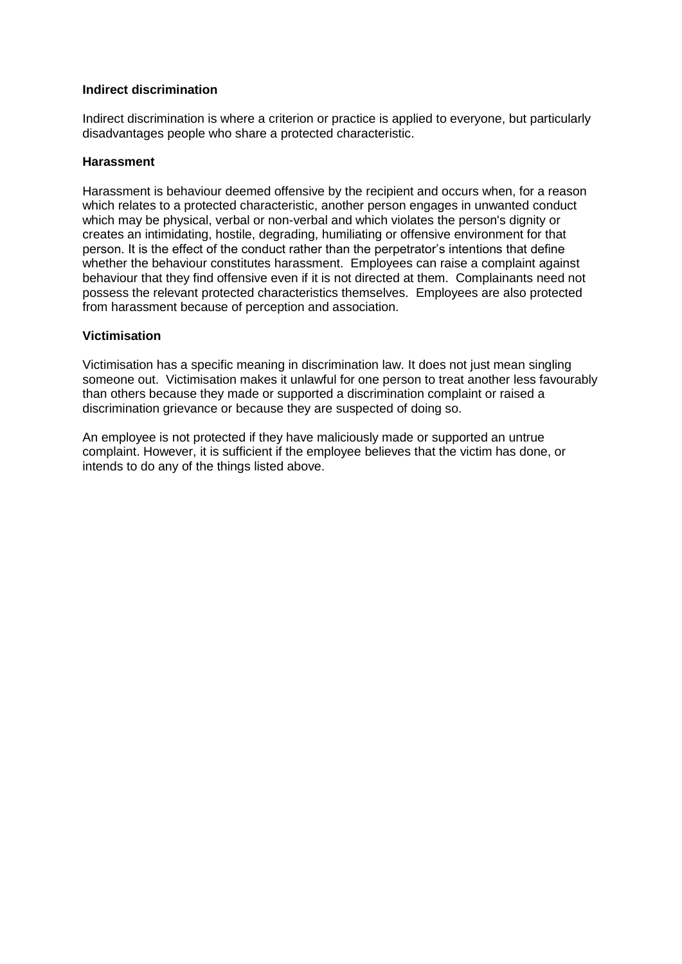#### **Indirect discrimination**

Indirect discrimination is where a criterion or practice is applied to everyone, but particularly disadvantages people who share a protected characteristic.

#### **Harassment**

Harassment is behaviour deemed offensive by the recipient and occurs when, for a reason which relates to a protected characteristic, another person engages in unwanted conduct which may be physical, verbal or non-verbal and which violates the person's dignity or creates an intimidating, hostile, degrading, humiliating or offensive environment for that person. It is the effect of the conduct rather than the perpetrator's intentions that define whether the behaviour constitutes harassment. Employees can raise a complaint against behaviour that they find offensive even if it is not directed at them. Complainants need not possess the relevant protected characteristics themselves. Employees are also protected from harassment because of perception and association.

#### **Victimisation**

Victimisation has a specific meaning in discrimination law. It does not just mean singling someone out. Victimisation makes it unlawful for one person to treat another less favourably than others because they made or supported a discrimination complaint or raised a discrimination grievance or because they are suspected of doing so.

An employee is not protected if they have maliciously made or supported an untrue complaint. However, it is sufficient if the employee believes that the victim has done, or intends to do any of the things listed above.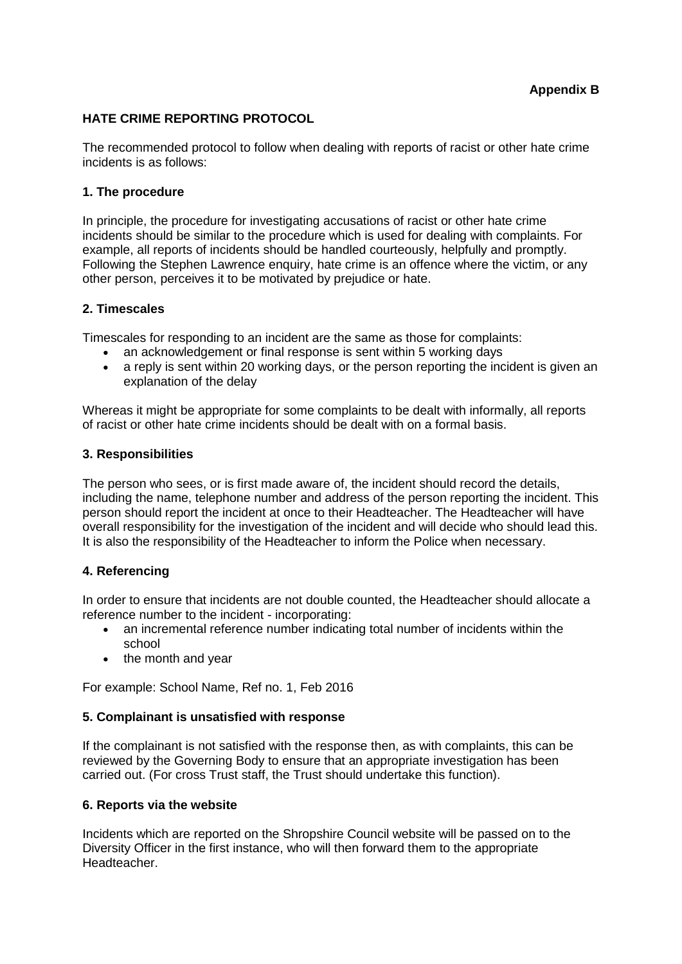# **HATE CRIME REPORTING PROTOCOL**

The recommended protocol to follow when dealing with reports of racist or other hate crime incidents is as follows:

#### **[1. The procedure](http://staff.shropshire.gov.uk/policies-and-guidance/hr-and-payroll/hate-crime-reporting-protocol/)**

In principle, the procedure for investigating accusations of racist or other hate crime incidents should be similar to the procedure which is used for dealing with complaints. For example, all reports of incidents should be handled courteously, helpfully and promptly. Following the Stephen Lawrence enquiry, hate crime is an offence where the victim, or any other person, perceives it to be motivated by prejudice or hate.

#### **[2. Timescales](http://staff.shropshire.gov.uk/policies-and-guidance/hr-and-payroll/hate-crime-reporting-protocol/)**

Timescales for responding to an incident are the same as those for complaints:

- an acknowledgement or final response is sent within 5 working days
- a reply is sent within 20 working days, or the person reporting the incident is given an explanation of the delay

Whereas it might be appropriate for some complaints to be dealt with informally, all reports of racist or other hate crime incidents should be dealt with on a formal basis.

#### **[3. Responsibilities](http://staff.shropshire.gov.uk/policies-and-guidance/hr-and-payroll/hate-crime-reporting-protocol/)**

The person who sees, or is first made aware of, the incident should record the details, including the name, telephone number and address of the person reporting the incident. This person should report the incident at once to their Headteacher. The Headteacher will have overall responsibility for the investigation of the incident and will decide who should lead this. It is also the responsibility of the Headteacher to inform the Police when necessary.

#### **[4. Referencing](http://staff.shropshire.gov.uk/policies-and-guidance/hr-and-payroll/hate-crime-reporting-protocol/)**

In order to ensure that incidents are not double counted, the Headteacher should allocate a reference number to the incident - incorporating:

- an incremental reference number indicating total number of incidents within the school
- the month and year

For example: School Name, Ref no. 1, Feb 2016

#### **[5. Complainant is unsatisfied with response](http://staff.shropshire.gov.uk/policies-and-guidance/hr-and-payroll/hate-crime-reporting-protocol/)**

If the complainant is not satisfied with the response then, as with complaints, this can be reviewed by the Governing Body to ensure that an appropriate investigation has been carried out. (For cross Trust staff, the Trust should undertake this function).

#### **[6. Reports via the website](http://staff.shropshire.gov.uk/policies-and-guidance/hr-and-payroll/hate-crime-reporting-protocol/)**

Incidents which are reported on the Shropshire Council website will be passed on to the Diversity Officer in the first instance, who will then forward them to the appropriate Headteacher.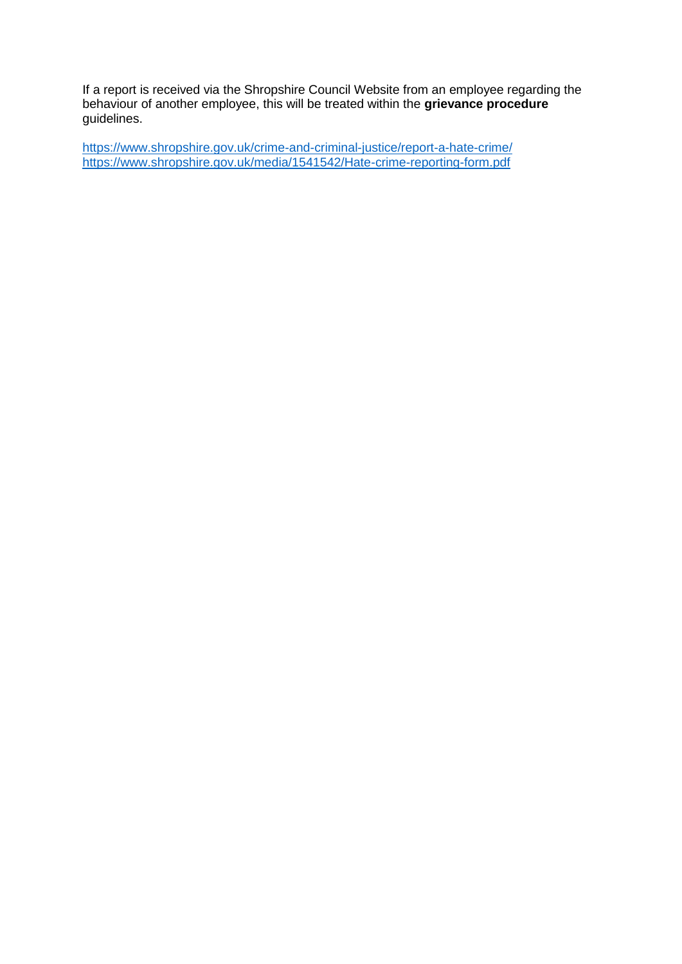If a report is received via the Shropshire Council Website from an employee regarding the behaviour of another employee, this will be treated within the **[grievance procedure](http://staff.shropshire.gov.uk/policies-and-guidance/hr-and-payroll/grievance-policy-and-procedure/)** guidelines.

<https://www.shropshire.gov.uk/crime-and-criminal-justice/report-a-hate-crime/> <https://www.shropshire.gov.uk/media/1541542/Hate-crime-reporting-form.pdf>